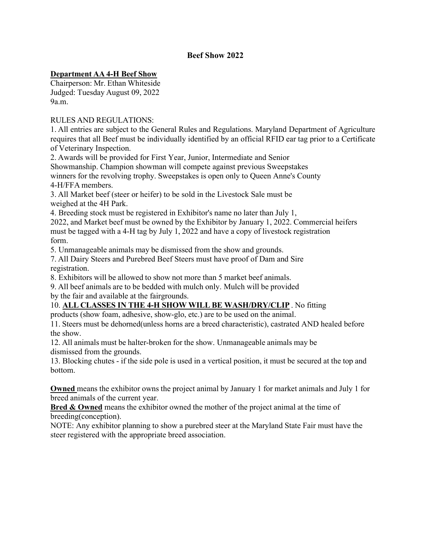## **Beef Show 2022**

## **Department AA 4-H Beef Show**

Chairperson: Mr. Ethan Whiteside Judged: Tuesday August 09, 2022 9a.m.

#### RULES AND REGULATIONS:

1. All entries are subject to the General Rules and Regulations. Maryland Department of Agriculture requires that all Beef must be individually identified by an official RFID ear tag prior to a Certificate of Veterinary Inspection.

2. Awards will be provided for First Year, Junior, Intermediate and Senior Showmanship. Champion showman will compete against previous Sweepstakes winners for the revolving trophy. Sweepstakes is open only to Queen Anne's County 4-H/FFA members.

3. All Market beef (steer or heifer) to be sold in the Livestock Sale must be weighed at the 4H Park.

4. Breeding stock must be registered in Exhibitor's name no later than July 1,

2022, and Market beef must be owned by the Exhibitor by January 1, 2022. Commercial heifers must be tagged with a 4-H tag by July 1, 2022 and have a copy of livestock registration form.

5. Unmanageable animals may be dismissed from the show and grounds.

7. All Dairy Steers and Purebred Beef Steers must have proof of Dam and Sire registration.

8. Exhibitors will be allowed to show not more than 5 market beef animals.

9. All beef animals are to be bedded with mulch only. Mulch will be provided by the fair and available at the fairgrounds.

## 10. **ALL CLASSES IN THE 4-H SHOW WILL BE WASH/DRY/CLIP** . No fitting

products (show foam, adhesive, show-glo, etc.) are to be used on the animal.

11. Steers must be dehorned(unless horns are a breed characteristic), castrated AND healed before the show.

12. All animals must be halter-broken for the show. Unmanageable animals may be dismissed from the grounds.

13. Blocking chutes - if the side pole is used in a vertical position, it must be secured at the top and bottom.

**Owned** means the exhibitor owns the project animal by January 1 for market animals and July 1 for breed animals of the current year.

**Bred & Owned** means the exhibitor owned the mother of the project animal at the time of breeding(conception).

NOTE: Any exhibitor planning to show a purebred steer at the Maryland State Fair must have the steer registered with the appropriate breed association.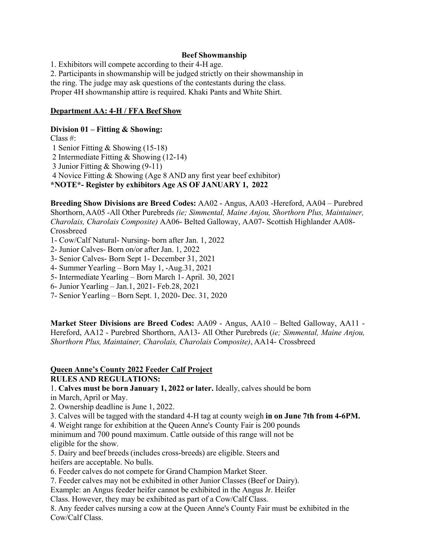#### **Beef Showmanship**

1. Exhibitors will compete according to their 4-H age. 2. Participants in showmanship will be judged strictly on their showmanship in the ring. The judge may ask questions of the contestants during the class. Proper 4H showmanship attire is required. Khaki Pants and White Shirt.

#### **Department AA: 4-H / FFA Beef Show**

#### **Division 01 – Fitting & Showing:**

Class #: Senior Fitting & Showing (15-18) Intermediate Fitting & Showing (12-14) Junior Fitting & Showing (9-11) Novice Fitting & Showing (Age 8 AND any first year beef exhibitor) **\*NOTE\*- Register by exhibitors Age AS OF JANUARY 1, 2022** 

**Breeding Show Divisions are Breed Codes:** AA02 - Angus, AA03 -Hereford, AA04 – Purebred Shorthorn, AA05 -All Other Purebreds *(ie; Simmental, Maine Anjou, Shorthorn Plus, Maintainer, Charolais, Charolais Composite)* AA06- Belted Galloway, AA07- Scottish Highlander AA08- Crossbreed

- 1- Cow/Calf Natural- Nursing- born after Jan. 1, 2022
- 2- Junior Calves- Born on/or after Jan. 1, 2022
- 3- Senior Calves- Born Sept 1- December 31, 2021
- 4- Summer Yearling Born May 1, -Aug.31, 2021
- 5- Intermediate Yearling Born March 1- April. 30, 2021
- 6- Junior Yearling Jan.1, 2021- Feb.28, 2021
- 7- Senior Yearling Born Sept. 1, 2020- Dec. 31, 2020

**Market Steer Divisions are Breed Codes:** AA09 - Angus, AA10 – Belted Galloway, AA11 - Hereford, AA12 - Purebred Shorthorn, AA13- All Other Purebreds (*ie; Simmental, Maine Anjou, Shorthorn Plus, Maintainer, Charolais, Charolais Composite)*, AA14- Crossbreed

#### **Queen Anne's County 2022 Feeder Calf Project RULES AND REGULATIONS:**

1. **Calves must be born January 1, 2022 or later.** Ideally, calves should be born in March, April or May.

- 2. Ownership deadline is June 1, 2022.
- 3. Calves will be tagged with the standard 4-H tag at county weigh **in on June 7th from 4-6PM.**

4. Weight range for exhibition at the Queen Anne's County Fair is 200 pounds minimum and 700 pound maximum. Cattle outside of this range will not be eligible for the show.

5. Dairy and beef breeds (includes cross-breeds) are eligible. Steers and heifers are acceptable. No bulls.

6. Feeder calves do not compete for Grand Champion Market Steer.

7. Feeder calves may not be exhibited in other Junior Classes (Beef or Dairy).

Example: an Angus feeder heifer cannot be exhibited in the Angus Jr. Heifer

Class. However, they may be exhibited as part of a Cow/Calf Class.

8. Any feeder calves nursing a cow at the Queen Anne's County Fair must be exhibited in the Cow/Calf Class.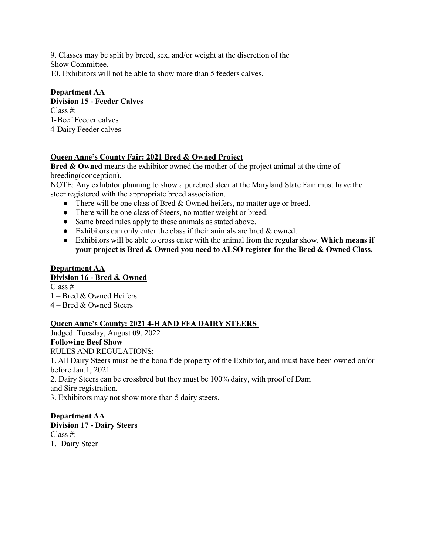9. Classes may be split by breed, sex, and/or weight at the discretion of the Show Committee. 10. Exhibitors will not be able to show more than 5 feeders calves.

# **Department AA**

**Division 15 - Feeder Calves**  Class #: 1-Beef Feeder calves 4-Dairy Feeder calves

## **Queen Anne's County Fair: 2021 Bred & Owned Project**

**Bred & Owned** means the exhibitor owned the mother of the project animal at the time of breeding(conception).

NOTE: Any exhibitor planning to show a purebred steer at the Maryland State Fair must have the steer registered with the appropriate breed association.

- There will be one class of Bred & Owned heifers, no matter age or breed.
- There will be one class of Steers, no matter weight or breed.
- Same breed rules apply to these animals as stated above.
- Exhibitors can only enter the class if their animals are bred  $&$  owned.
- Exhibitors will be able to cross enter with the animal from the regular show. **Which means if your project is Bred & Owned you need to ALSO register for the Bred & Owned Class.**

# **Department AA**

## **Division 16 - Bred & Owned**

Class # 1 – Bred & Owned Heifers 4 – Bred & Owned Steers

# **Queen Anne's County: 2021 4-H AND FFA DAIRY STEERS**

Judged: Tuesday, August 09, 2022

## **Following Beef Show**

RULES AND REGULATIONS:

1. All Dairy Steers must be the bona fide property of the Exhibitor, and must have been owned on/or before Jan.1, 2021.

2. Dairy Steers can be crossbred but they must be 100% dairy, with proof of Dam and Sire registration.

3. Exhibitors may not show more than 5 dairy steers.

## **Department AA**

**Division 17 - Dairy Steers** Class #: 1. Dairy Steer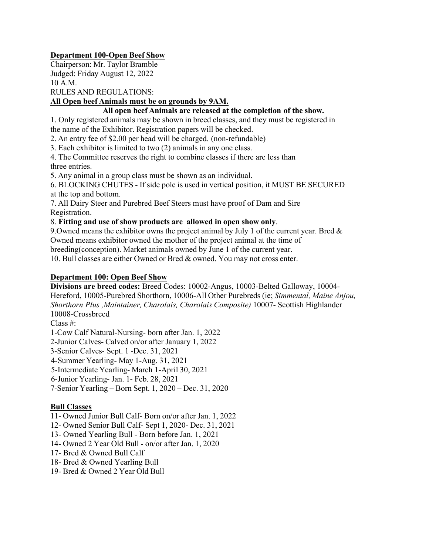## **Department 100-Open Beef Show**

Chairperson: Mr. Taylor Bramble Judged: Friday August 12, 2022 10 A.M.

RULES AND REGULATIONS:

## **All Open beef Animals must be on grounds by 9AM.**

## **All open beef Animals are released at the completion of the show.**

1. Only registered animals may be shown in breed classes, and they must be registered in the name of the Exhibitor. Registration papers will be checked.

2. An entry fee of \$2.00 per head will be charged. (non-refundable)

3. Each exhibitor is limited to two (2) animals in any one class.

4. The Committee reserves the right to combine classes if there are less than three entries.

5. Any animal in a group class must be shown as an individual.

6. BLOCKING CHUTES - If side pole is used in vertical position, it MUST BE SECURED at the top and bottom.

7. All Dairy Steer and Purebred Beef Steers must have proof of Dam and Sire Registration.

8. **Fitting and use of show products are allowed in open show only**.

9. Owned means the exhibitor owns the project animal by July 1 of the current year. Bred  $\&$ Owned means exhibitor owned the mother of the project animal at the time of

breeding(conception). Market animals owned by June 1 of the current year.

10. Bull classes are either Owned or Bred & owned. You may not cross enter.

#### **Department 100: Open Beef Show**

**Divisions are breed codes:** Breed Codes: 10002-Angus, 10003-Belted Galloway, 10004- Hereford, 10005-Purebred Shorthorn, 10006-All Other Purebreds (ie; *Simmental, Maine Anjou, Shorthorn Plus ,Maintainer, Charolais, Charolais Composite)* 10007- Scottish Highlander 10008-Crossbreed

Class #:

1-Cow Calf Natural-Nursing- born after Jan. 1, 2022

2-Junior Calves- Calved on/or after January 1, 2022

3-Senior Calves- Sept. 1 -Dec. 31, 2021

4-Summer Yearling- May 1-Aug. 31, 2021

5-Intermediate Yearling- March 1-April 30, 2021

6-Junior Yearling- Jan. 1- Feb. 28, 2021

7-Senior Yearling – Born Sept. 1, 2020 – Dec. 31, 2020

## **Bull Classes**

11- Owned Junior Bull Calf- Born on/or after Jan. 1, 2022

12- Owned Senior Bull Calf- Sept 1, 2020- Dec. 31, 2021

13- Owned Yearling Bull - Born before Jan. 1, 2021

14- Owned 2 Year Old Bull - on/or after Jan. 1, 2020

17- Bred & Owned Bull Calf

18- Bred & Owned Yearling Bull

19- Bred & Owned 2 Year Old Bull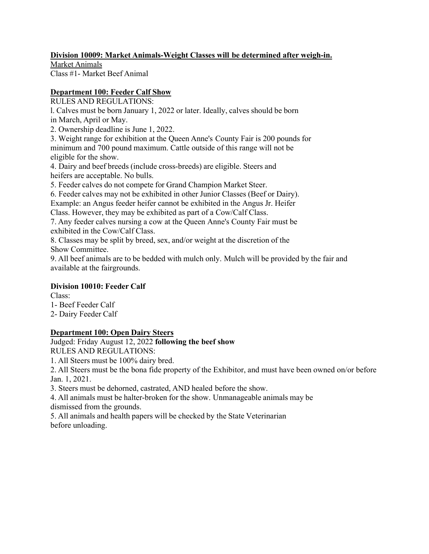## **Division 10009: Market Animals-Weight Classes will be determined after weigh-in.**

Market Animals Class #1- Market Beef Animal

# **Department 100: Feeder Calf Show**

RULES AND REGULATIONS:

l. Calves must be born January 1, 2022 or later. Ideally, calves should be born in March, April or May.

2. Ownership deadline is June 1, 2022.

3. Weight range for exhibition at the Queen Anne's County Fair is 200 pounds for minimum and 700 pound maximum. Cattle outside of this range will not be eligible for the show.

4. Dairy and beef breeds (include cross-breeds) are eligible. Steers and heifers are acceptable. No bulls.

5. Feeder calves do not compete for Grand Champion Market Steer.

6. Feeder calves may not be exhibited in other Junior Classes (Beef or Dairy).

Example: an Angus feeder heifer cannot be exhibited in the Angus Jr. Heifer

Class. However, they may be exhibited as part of a Cow/Calf Class.

7. Any feeder calves nursing a cow at the Queen Anne's County Fair must be exhibited in the Cow/Calf Class.

8. Classes may be split by breed, sex, and/or weight at the discretion of the Show Committee.

9. All beef animals are to be bedded with mulch only. Mulch will be provided by the fair and available at the fairgrounds.

## **Division 10010: Feeder Calf**

Class:

1- Beef Feeder Calf

2- Dairy Feeder Calf

## **Department 100: Open Dairy Steers**

Judged: Friday August 12, 2022 **following the beef show** RULES AND REGULATIONS:

1. All Steers must be 100% dairy bred.

2. All Steers must be the bona fide property of the Exhibitor, and must have been owned on/or before Jan. 1, 2021.

3. Steers must be dehorned, castrated, AND healed before the show.

4. All animals must be halter-broken for the show. Unmanageable animals may be dismissed from the grounds.

5. All animals and health papers will be checked by the State Veterinarian before unloading.